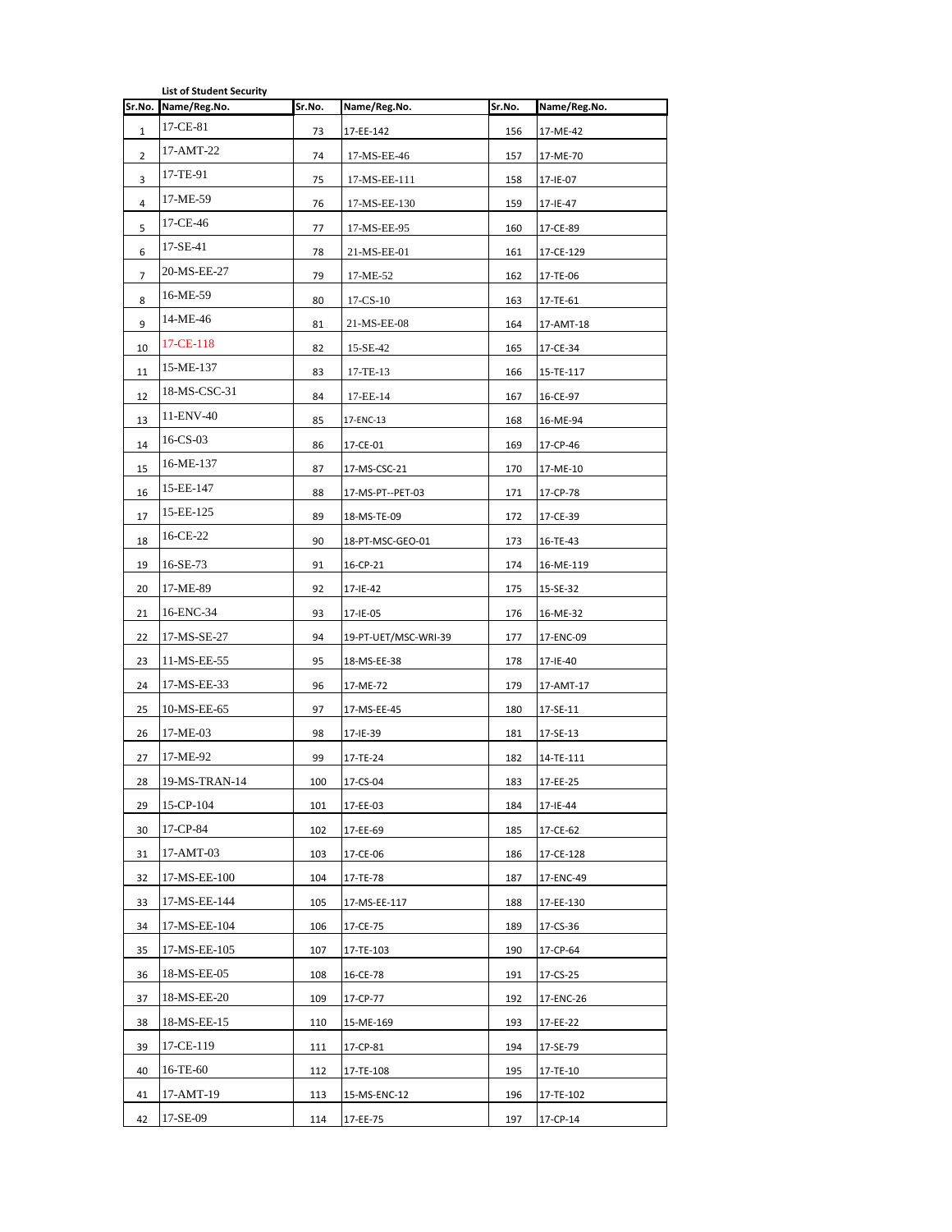|        | <b>List of Student Security</b> |        |                      |        |              |
|--------|---------------------------------|--------|----------------------|--------|--------------|
| Sr.No. | Name/Reg.No.                    | Sr.No. | Name/Reg.No.         | Sr.No. | Name/Reg.No. |
| 1      | 17-CE-81                        | 73     | 17-EE-142            | 156    | 17-ME-42     |
| 2      | 17-AMT-22                       | 74     | 17-MS-EE-46          | 157    | 17-ME-70     |
| 3      | 17-TE-91                        | 75     | 17-MS-EE-111         | 158    | 17-IE-07     |
| 4      | 17-ME-59                        | 76     | 17-MS-EE-130         | 159    | 17-IE-47     |
| 5      | 17-CE-46                        | 77     | 17-MS-EE-95          | 160    | 17-CE-89     |
| 6      | 17-SE-41                        | 78     | 21-MS-EE-01          | 161    | 17-CE-129    |
| 7      | 20-MS-EE-27                     | 79     | 17-ME-52             | 162    | 17-TE-06     |
| 8      | 16-ME-59                        | 80     | $17 - CS - 10$       | 163    | 17-TE-61     |
| 9      | 14-ME-46                        | 81     | 21-MS-EE-08          | 164    | 17-AMT-18    |
| 10     | 17-CE-118                       | 82     | 15-SE-42             | 165    | 17-CE-34     |
| 11     | 15-ME-137                       | 83     | 17-TE-13             | 166    | 15-TE-117    |
| 12     | 18-MS-CSC-31                    | 84     | 17-EE-14             | 167    | 16-CE-97     |
| 13     | 11-ENV-40                       | 85     | 17-ENC-13            | 168    | 16-ME-94     |
| 14     | $16$ -CS-03                     | 86     | 17-CE-01             | 169    | 17-CP-46     |
| 15     | 16-ME-137                       | 87     | 17-MS-CSC-21         | 170    | 17-ME-10     |
| 16     | 15-EE-147                       | 88     | 17-MS-PT--PET-03     | 171    | 17-CP-78     |
| 17     | 15-EE-125                       | 89     | 18-MS-TE-09          | 172    | 17-CE-39     |
| 18     | 16-CE-22                        | 90     | 18-PT-MSC-GEO-01     | 173    | 16-TE-43     |
| 19     | 16-SE-73                        | 91     | 16-CP-21             | 174    | 16-ME-119    |
| 20     | 17-ME-89                        | 92     | 17-IE-42             | 175    | 15-SE-32     |
| 21     | 16-ENC-34                       | 93     | 17-IE-05             | 176    | 16-ME-32     |
| 22     | 17-MS-SE-27                     | 94     | 19-PT-UET/MSC-WRI-39 | 177    | 17-ENC-09    |
| 23     | 11-MS-EE-55                     | 95     | 18-MS-EE-38          | 178    | 17-IE-40     |
| 24     | 17-MS-EE-33                     | 96     | 17-ME-72             | 179    | 17-AMT-17    |
| 25     | 10-MS-EE-65                     | 97     | 17-MS-EE-45          | 180    | 17-SE-11     |
| 26     | 17-ME-03                        | 98     | 17-IE-39             | 181    | 17-SE-13     |
| 27     | 17-ME-92                        | 99     | 17-TE-24             | 182    | 14-TE-111    |
| 28     | 19-MS-TRAN-14                   | 100    | 17-CS-04             | 183    | 17-EE-25     |
| 29     | 15-CP-104                       | 101    | 17-EE-03             | 184    | 17-IE-44     |
| 30     | 17-CP-84                        | 102    | 17-EE-69             | 185    | 17-CE-62     |
| 31     | 17-AMT-03                       | 103    | 17-CE-06             | 186    | 17-CE-128    |
| 32     | 17-MS-EE-100                    | 104    | 17-TE-78             | 187    | 17-ENC-49    |
| 33     | 17-MS-EE-144                    | 105    | 17-MS-EE-117         | 188    | 17-EE-130    |
| 34     | 17-MS-EE-104                    | 106    | 17-CE-75             | 189    | 17-CS-36     |
| 35     | 17-MS-EE-105                    | 107    | 17-TE-103            | 190    | 17-CP-64     |
| 36     | 18-MS-EE-05                     | 108    | 16-CE-78             | 191    | 17-CS-25     |
| 37     | 18-MS-EE-20                     | 109    | 17-CP-77             | 192    | 17-ENC-26    |
| 38     | 18-MS-EE-15                     | 110    | 15-ME-169            | 193    | 17-EE-22     |
| 39     | 17-CE-119                       | 111    | 17-CP-81             | 194    | 17-SE-79     |
| 40     | 16-TE-60                        | 112    | 17-TE-108            | 195    | 17-TE-10     |
| 41     | 17-AMT-19                       | 113    | 15-MS-ENC-12         | 196    | 17-TE-102    |
| 42     | 17-SE-09                        | 114    | 17-EE-75             | 197    | 17-CP-14     |